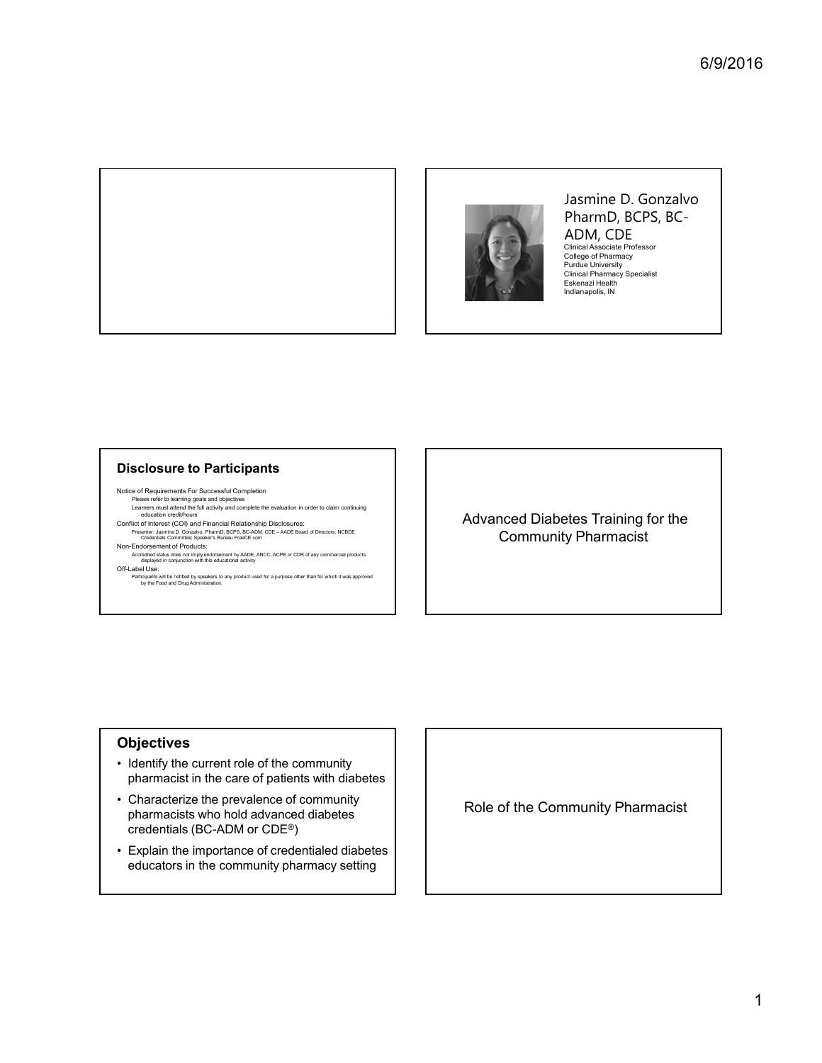



#### Jasmine D. Gonzalvo PharmD, BCPS, BC-ADM, CDE Clinical Associate Professor College of Pharmacy Purdue University Clinical Pharmacy Specialist Eskenazi Health Indianapolis, IN

#### Disclosure to Participants

Notice of Requirements For Successful Completion

- Please refer to learning goals and objectives<br>Learners must attend the full activity and complete the evaluation in order to claim continuing<br>education credit/hours
- 
- 
- Non-Endorsement of Products:
- Accredited status does not imply endorsement by AADE, ANCC, ACPE or CDR of any commercial products<br>displayed in conjunction with this educational activity<br>Off-Label Use:
	- ـ Labor Ooo.<br>Participants will be notified by speakers to any product used for a purpose other than for which it was approved<br>by the Food and Drug Administration.

Conflict of Interest (COI) and Financial Relationship Disclosures:<br>Presenter Conflict of Interest (COI) and Financial Relationship Disclosures:<br>Credential Committer, Speaker's Bureau FreeCE.com Community Pharmacist

## **Objectives**

- pharmacist in the care of patients with diabetes
- $\begin{array}{|l|l|}\hline \textbf{Disclosure to Participants} \\\hline \textbf{Misymmetric} \\\hline \textbf{Mis symmetric} \\\hline \textbf{Mis symmetric} \\\hline \textbf{Mis symmetric} \\\hline \textbf{Mis symmetric} \\\hline \textbf{Mis symmetric} \\\hline \textbf{Mis symmetric} \\\hline \textbf{Mis symmetric} \\\hline \textbf{Mis symmetric} \\\hline \textbf{Mis symmetric} \\\hline \textbf{Mis symmetric} \\\hline \textbf{Mis symmetric} \\\hline \textbf{Mis symmetric} \\\hline \textbf{Mis symmetric} \\\hline \textbf{Mis symmetric} \\\hline \textbf{Mis symmetric} \\\$  $\begin{tabular}{|l|l|} \hline \textbf{Disclosure to Partici points} \\ \hline \textbf{P} & \textbf{P} & \textbf{P} & \textbf{P} & \textbf{P} & \textbf{P} & \textbf{P} & \textbf{P} & \textbf{P} & \textbf{P} & \textbf{P} & \textbf{P} & \textbf{P} & \textbf{P} & \textbf{P} & \textbf{P} & \textbf{P} & \textbf{P} & \textbf{P} & \textbf{P} & \textbf{P} & \textbf{P} & \textbf{P} & \textbf{P} & \textbf{P} & \textbf{P} & \textbf{P} &$ pharmacists who hold advanced diabetes credentials (BC-ADM or CDE®) **•** Explain the importance of criterion intertwine in the community of the Community of the credentialed diabetes<br>
• Explain the importance of credit and the intertwine intertwine in the intertwine in the intertwine inter
- educators in the community pharmacy setting

Role of the Community Pharmacist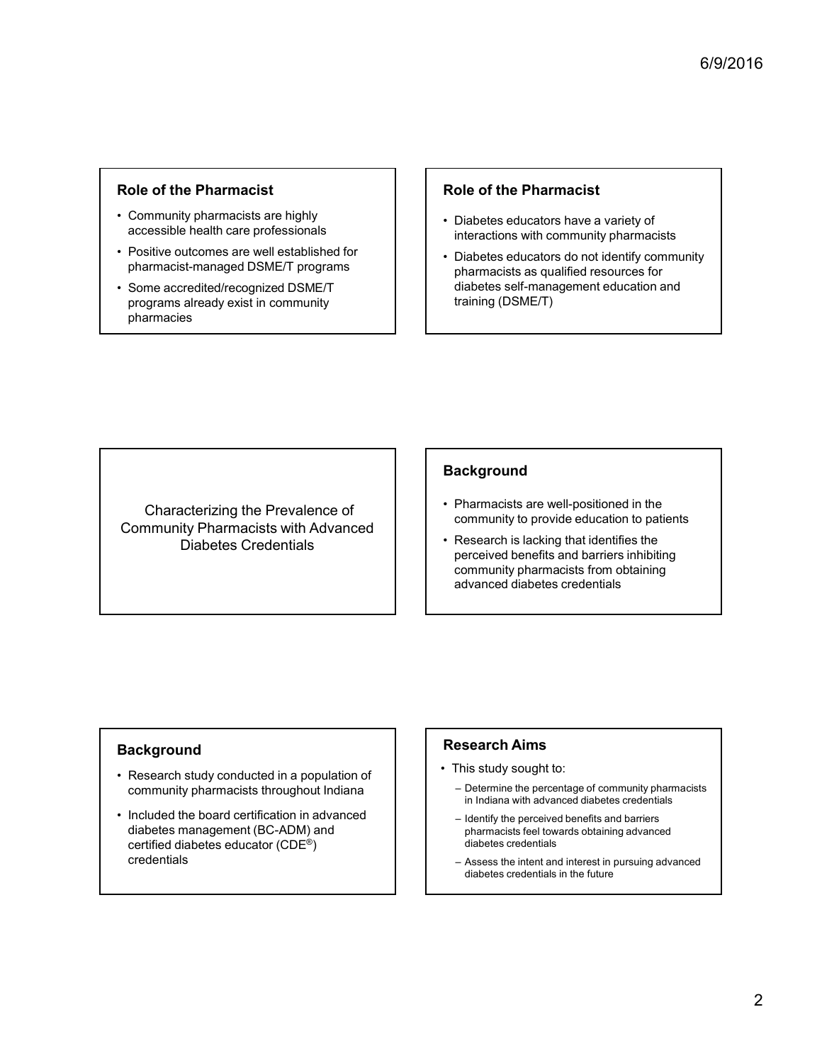## Role of the Pharmacist

- 
- **Role of the Pharmacist**<br>
 Community pharmacists are highly<br>
 Community pharmacists are highly<br>
 Consitive outcomes are well established for<br>
 Sositive outcomes are well established for<br>
 Some accredited/recognized DS
- **FROLE OF the Pharmacist**<br>
 Community pharmacists are highly<br>
accessible health care professionals<br>
 Positive outcomes are well established for<br>
 Pharmacist-managed DSME/T programs<br>
 Some accredited/recognized DSME/T<br> **FRAME SET ASSEM (FRAME SET ASSEMBERT ASSEMBERT ACCREDITM)**<br>• Community pharmacists are highly<br>• Collabetes educators interactions with compharmacist-managed DSME/T programs<br>• Some accredited/recognized DSME/T<br>• Some accre programs already exist in community pharmacies

## Role of the Pharmacist

- Community pharmacists are nighly<br>accessible health care professionals<br>interactions with community pharmaci interactions with community pharmacists
- Positive outcomes are well established for<br>
pharmacist-managed DSME/T programs<br>
pharmacists as qualified resources for  $6/9/2016$ <br> **Role of the Pharmacist**<br>
• Diabetes educators have a variety of<br>
• Diabetes educators do not identify community<br>
• Diabetes educators do not identify community<br>
pharmacists as qualified resources for<br>
diabete  $e^{6/9/2016}$ <br> **Role of the Pharmacist**<br>
• Diabetes educators have a variety of<br>
interactions with community pharmacists<br>
• Diabetes educators do not identify community<br>
pharmacists as qualified resources for<br>
diabetes se pharmacists as qualified resources for diabetes self-management education and training (DSME/T) **Role of the Pharmacist**<br>
• Diabetes educators have a variety of<br>
interactions with community pharmacists<br>
• Diabetes educators do not identify community<br>
pharmacists as qualified resources for<br>
diabetes self-management ed **FOLE OF THE PINATIMACIST**<br>
• Diabetes educators have a variety of<br>
• Diabetes educators do not identify community<br>
pharmacists as qualified resources for<br>
diabetes self-management education and<br>
training (DSME/T)<br> **Backgr**

Community Pharmacists with Advanced<br>
Research is lacking that identifies the Diabetes Credentials Community Pharmacists with Advanced<br>
Diabetes Credentials<br>
Diabetes Credentials<br>
Rackground<br>
Research study conducted in a population of<br>
Pharmacists are well<br>
encreived benefits and<br>
encreived benefits at<br>
community phar

## **Background**

- Characterizing the Prevalence of **Characterizing the Prevalence of**  Pharmacists are well-positioned in the community to provide education to patients
- perceived benefits and barriers inhibiting community pharmacists from obtaining advanced diabetes credentials **Background**<br>
• Pharmacists are well-positioned in the<br>
• Research is lacking that identifies the<br>
perceived benefits and barriers inhibiting<br>
community pharmacists from obtaining<br>
advanced diabetes credentials<br> **Research ackground**<br>
Pharmacists are well-positioned in the<br>
community to provide education to patients<br>
Research is lacking that identifies the<br>
perceived benefits and barriers inhibiting<br>
community pharmacists from obtaining<br>
ad **ackground**<br>
Pharmacists are well-positioned in the<br>
community to provide education to patients<br>
Research is lacking that identifies the<br>
perceived benefits and barriers inhibiting<br>
community pharmacists from obtaining<br>
ad community to provide education to patients<br>Research is lacking that identifies the<br>perceived benefits and barriers inhibiting<br>community pharmacists from obtaining<br>advanced diabetes credentials<br>advanced diabetes credentials

## **Background**

- community pharmacists throughout Indiana | | | Determine the percentage of community pharmacists
- Community Pharmacists with Advanced<br>
Diabetes Credentials<br>
Diabetes Credentials<br>
 Research is lacking to provide<br>
 Research is lacking to provide the board of the board of the certified diabetes caloustic and an appl diabetes management (BC-ADM) and certified diabetes educator (CDE®) credentials

## Research Aims

- - in Indiana with advanced diabetes credentials
	- pharmacists feel towards obtaining advanced diabetes credentials
	- diabetes credentials in the future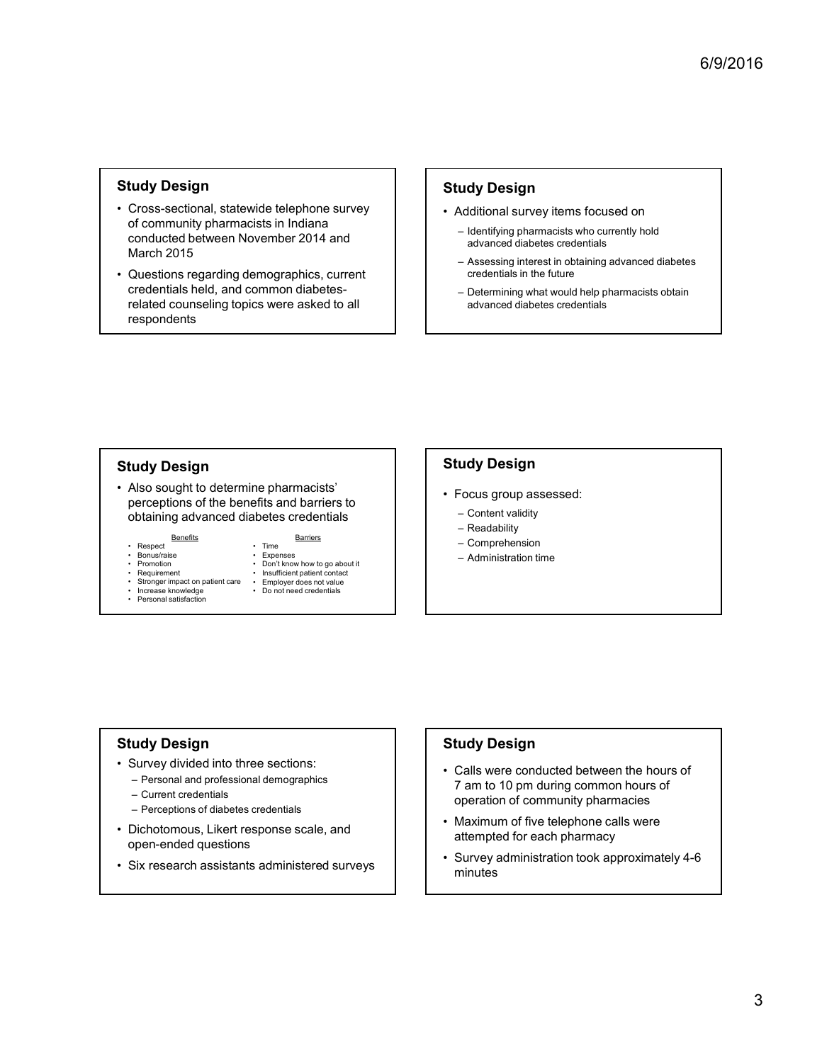#### Study Design

- Study Design<br>
 Cross-sectional, statewide telephone survey<br>
of community pharmacists in Indiana<br>
conducted between November 2014 and<br>
March 2015<br>
 Questions regarding demographics, current<br>
credentials held, and common d of community pharmacists in Indiana or community pharmacists in indicated<br>conducted between November 2014 and<br>conducted between November 2014 and<br> $\frac{1}{2}$  advanced dispetes credentials March 2015 Study Design<br>
• Cross-sectional, statewide telephone survey<br>
of community pharmacists in Indiana<br>
conducted between November 2014 and<br>
March 2015<br>
• Questions regarding demographics, current<br>
credentials held, and common d **Study Design**<br>
• Cross-sectional, statewide telephone survey<br>
of community pharmacists in Indiana<br>
conducted between November 2014 and<br>
March 2015<br>
• Questions regarding demographics, current<br>
credentials held, and commo Cross-sectional, statewide telephone survey<br>
of community pharmacists in Indiana<br>
conducted between November 2014 and<br>
March 2015<br>
March 2015<br>
Cluestions regarding demographics, current<br>
credentials held and common diabete Figure 1997<br>
State the phone survey<br>
its in Indiana<br>
the vember 2014 and<br>
the dividend survey items focused on<br>
the dividend survey items focused on<br>
the dividend survey items focused on<br>
the dividend survey items of the s ids telephone survey<br>
site in Indiana<br>
semising pharmacists who currently hold<br>
advanced diabetes credentials<br>
on the distribution of the semising and a streamently hold<br>
on the distribution of the semising and a streame
- credentials held, and common diabetescredentials held, and common diabetes-<br>
related counseling topics were asked to all example and related diabetes credentials respondents Constructed between November 2014 and<br>
Constructed between November 2014 and<br>
Constructed between November 2014 and<br>
Constructed between November 2014 and<br>
Constructed between November 2014 and<br>
Credentials held, and commo of Community pharmacists in Indiana<br>
Conducted between November 2014 and<br>
March 2015<br>
Cluestions regarding demographics, current<br>
related counseling topics were asked to all<br>
related counseling topics were asked to all<br>
re Conducted between November 2014 and<br>
March 2015<br>
Carections regarding demographics, current<br>
credentials held, and common diabetes-<br>
related counseling topics were asked to all<br>
<br>
<br> **Conducted in the United Section Sectio** Conducted Detween November 2014 and<br>
March 2015<br>
Cluestions regarding demographics, current<br>
credentials held, and common diabetes-<br>
respondents<br>
respondents<br>
Expondents<br>
Expondents<br>
Maso sought to determine pharmacists<br>
P March 2015<br>
Cluestions regarding demographics, current<br>
credentials in the future<br>
related counseling topics were asked to all<br>
related counseling topics were asked to all<br>
repreciptions of the benefits and barriers to<br>
ob Additional and the constraints in the distribution is the distribution of distribution of distribution of distribution of distribution of distribution of distribution of distribution of the parameter of the parameter of t Fils in Indiana<br>
entitying pharmacists who currently hold<br>
entitying charmacists credentials<br>
morgraphics, current<br>
omenomendialsedes.<br>
So were asked to all<br>
solver a sked to all<br>
divideo the distribution of distribution a <table>\n<tbody>\n<tr>\n<th>vector</th>\n<th>Self. The</th>\n</tr>\n<tr>\n<td>2. The</td>\n<td>Example 2</td>\n</tr>\n<tr>\n<td>2. The</td>\n<td>Example 2</td>\n</tr>\n<tr>\n<td>2. The</td>\n<td>Example 2</td>\n</tr>\n<tr>\n<td>2. The</td>\n<td>Example 2</td>\n</tr>\n<tr>\n<td>2. The</td>\n<td>Example 2</td>\n</tr>\n<tr>\n<td>2. The</td>\n<td>Example 2</td>\n</tr>\n<tr>\n<td>2. The</td>\n<td>Example 2</td>\n</tr>\n<tr>\n<td>2. The</td>\n<td>Example France Content and The Content of the Content of the Content of the Content of the Content of the Content of the Content of the Content of the Content of the Content of the Content of the Content of the Content of the Con

## Study Design

- - advanced diabetes credentials
- 6/9/2016<br>
Study Design<br>
 Additional survey items focused on<br>
 lentifying pharmacists who currently hold<br>
advanced diabetes credentials<br>
 Assessing interest in obtaining advanced diabetes<br>
credentials in the future<br>
 De 6/9/2016<br>
Udy Design<br>
Additional survey items focused on<br>
— Identifying pharmacists who currently hold<br>
— advanced diabetes credentials<br>
— Assessing interest in obtaining advanced diabetes<br>
— Cetermining what would help ph 6/9/2016<br> **CONTRET CONTRET CONTRET CONTRET CONTRET CONTRET CONTRET CONTRET CONTRET CONTRET CONTRET CONTRET CONTRET CONTRET CONTRET CONTRET CONTRET CONTRET CONTRET CONTRET CONTRET CONTRET CONTRET CONTRET CONTRET CONTRET CON** credentials in the future 6/9/2016<br> **udy Design**<br>
Additional survey items focused on<br>
— ldentifying pharmacists who currently hold<br>
advanced diabetes credentials<br>
— Assessing interest in obtaining advanced diabetes<br>
— cedentials in the future<br>
— De **Study Design**<br>
• Additional survey items focused on<br>
– learnifying pharmacists who currently hold<br>
advanced diabetes credentials<br>
– Assessing interest in obtaining advanced diabetes<br>
— Determining what would help pharmac **Landan Starter School Starter School Starter (School School School School School School School School School School School School School School School School School School School School School School School School School udy Design**<br>
Additional survey items focused on<br>
— identifying pharmacists who currently hold<br>
advanced diabetes redentials<br>
— Assessing interest in obtaining advanced diabetes<br>
— cedentials in the future<br>
— Determining w **Example 19 Second Server Serverse Server Server Server Server Server Server Server Server Server Server Server Server Server Server Server Server Server Server Server Server Server Server Server Server Server Server Serve** Netalitional survey items focused on<br>
and various show currently hold<br>
and various diabetes credentials<br>
- Assessing interest in obtaining advanced diabetes<br>
credentials in the future<br>
- Determining what would help pharmac
	- advanced diabetes credentials

## Study Design **Study Design Study Design**

perceptions of the benefits and barriers to obtaining advanced diabetes credentials <table>\n<tbody>\n<tr>\n<th>Study Design</th>\n<th>Study Design</th>\n</tr>\n<tr>\n<td>At also sought to determine pharmacists'</td>\n<td>Focus groups assesses</td>\n</tr>\n<tr>\n<td>ORC</td>\n<td>Study Design</td>\n<td>Forus group assesses</td>\n</tr>\n<tr>\n<td>Oblating advanced diabetes credentials</td>\n<td>Forons group, and the <i>Example</i> 1</td>\n</tr>\n<tr>\n<td>• <i>Range</i></td>\n<td>Forons, or <i>Example</i> 2</td>\n</tr>\n<tr>\n<td>• <i>Suppose image</i></td>\n<td>Forons, or <i>Example</i> 2</td>\n</tr>\n<tr>\n<td demographics<br>
Demographics of the benefits and barriers to<br>
bestianting advanced diabetes credentials<br>
Benefit and barriers into the section of particular content validity<br>
Respectively<br>
Respectively and the professional d dividing advanced diabetes credentials<br>
Descriptions of the benefits and barriers to<br>
Descriptions of the benefits and barriers to<br>
Descriptions and contract values of diabetes credentials<br>
Descriptions in the second contr de the method of the the method states are copied on the states of diabetes credentials<br>
Persent Scotling advanced diabetes credentials<br>
Persent Scotling and and and the sections:<br>
Persent interval on pole and the method o • Also sought to determine pharmacists'<br>
obtaining advanced diabetes credentials<br>
• Regense Basedias<br>
• Regense Basedias<br>
• Regense Basedias<br>
• Regense Basedias<br>
• Regense Basedias<br>
• Regense Basedias<br>
• Regense Basedias<br>

Benefits<br>
Fime<br>
Barriers<br>
Barriers<br>
Barriers<br>
Barriers<br>
Barriers<br>
Barriers<br>
Barriers<br>
Barriers<br>
Barriers<br>
Barriers<br>
Barriers<br>
Barriers<br>
Barriers<br>
Barriers<br>
Barriers<br>
Barriers<br>
Barriers<br>
Barriers<br>
Barriers<br>
Barriers<br>
Barrie

- 
- 
- 
- -
	-

- -
	-
	-
	-

# Study Design

- -
	-
	-
- botaining advanced diabetes credentials<br>
 Simulation<br>
 Simulation<br>
 Simulation<br>
 Simulation<br>
 Simulation<br>
 Simulation<br>
 Simulation<br>
 Simulation<br>
 Simulation<br>
 Simulation<br>
 Simulation<br>
 Simulation<br>
 Funcha
- 

### Study Design

- **Study Design**<br>
 Focus group assessed:<br>
 Content validity<br>
 Readability<br>
 Comprehension<br>
 Administration time<br>
 Administration time<br>
Study Design<br>
 Calls were conducted between the hours of<br>
7 am to 10 pm during co 7 am to 10 pm during common hours of operation of community pharmacies • Focus group assessed:<br>
• Content validity<br>
– Readability<br>
– Comprehension<br>
– Administration time<br>
– Administration time<br> **Study Design<br>
•** Calls were conducted between the hours of<br>
7 am to 10 pm during common hours of<br> – Content validity<br>
– Readability<br>
– Comprehension<br>
– Administration time<br>
– Administration time<br>
• Calls were conducted between the hours of<br>
7 am to 10 pm during common hours of<br>
operation of community pharmacies<br>
• Max
- attempted for each pharmacy
- open-ended questions<br>
Survey administration took approximately 4-6 minutes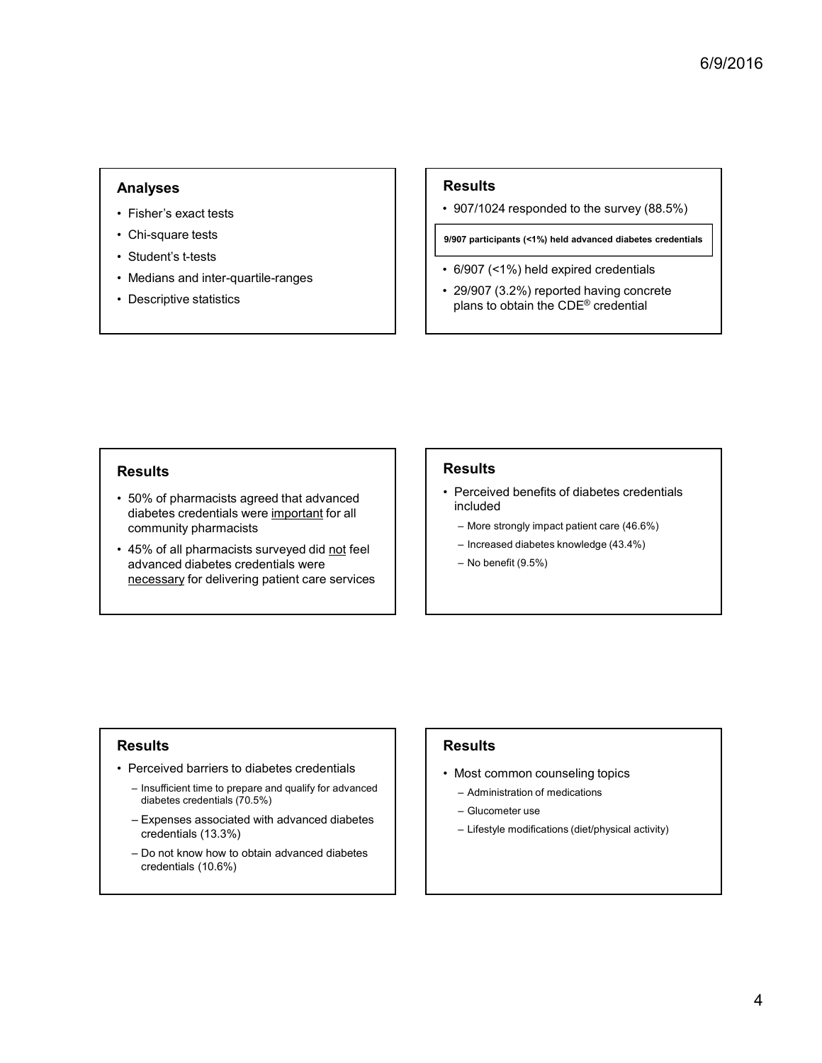## Analyses

- 
- 
- 
- Analyses<br>
 Fisher's exact tests<br>
 Chi-square tests<br>
 Student's t-tests<br>
 Student's t-tests<br>
 Medians and inter-quartile-ranges<br>
 Descriptive statistics<br>
 Descriptive statistics
- 

## Results

 $\begin{array}{l} \textsf{\textbf{Results}} \ \textsf{\textbf{•}}\ \textsf{\textbf{907/1024}} \ \textsf{\textbf{responded to the survey (88.5%)} \ \textsf{\textbf{9907}} \ \textsf{\textbf{participants}} \ \textsf{\textbf{•}}\ \textsf{\textbf{•}}\ \textsf{\textbf{9907}} \ \textsf{\textbf{0}}\ \textsf{\textbf{0}}\ \textsf{\textbf{0}}\ \textsf{\textbf{0}}\ \textsf{\textbf{0}}\ \textsf{\textbf{0}}\ \textsf{\textbf{0}}\ \textsf{\textbf{0}}\ \textsf{\textbf{0}}\ \textsf{\textbf{$ 

9/907 participants (<1%) held advanced diabetes credentials

- 
- Analyses<br>
 Fisher's exact tests<br>
 Chi-square tests<br>
 Chi-square tests<br>
 Student's t-tests<br>
 Medians and inter-quartile-ranges<br>
 Descriptive statistics<br>
 Descriptive statistics<br>
 Descriptive statistics<br>
 Pescriptiv Analyses<br>
• Fisher's exact tests<br>
• Chi-square tests<br>
• Student's t-tests<br>
• Medians and inter-quartile-ranges<br>
• Descriptive statistics<br>
• Descriptive statistics<br>
• Descriptive statistics<br>
• Student's t-tests<br>
• Secriptiv Analyses<br>
• Fisher's exact tests<br>
• Chi-square tests<br>
• Student's t-tests<br>
• Medians and inter-quartile-ranges<br>
• Descriptive statistics<br>
• Descriptive statistics<br>
• Descriptive statistics<br>
• Medians to obtain the C<br>
• 29/ Analyses<br>
• Fisher's exact tests<br>
• Chi-square tests<br>
• Student's t-tests<br>
• Medians and inter-quartile-ranges<br>
• Descriptive statistics<br>
• Descriptive statistics<br>
• Descriptive statistics<br>
• Open Called expans to obtain **Fig. 11**<br> **•** 907/1024 responded to the survey (88.5%)<br> **•** 907/1024 responded to the survey (88.5%)<br> **•** 9097 participants (<1%) held expired credentials<br>
• 29/907 (<1%) held expired credentials<br>
• 29/907 (3.2%) reporte  $e^{6/9/2016}$ <br> **Results**<br>  $\cdot$  907/1024 responded to the survey (88.5%)<br>
9907 participants (<1%) held advanced diabetes credentials<br>  $\cdot$  6/907 (<1%) held expired credentials<br>  $\cdot$  29/907 (3.2%) reported having concrete<br> plans to obtain the CDE® credential

## **Results**

- community pharmacists **Example 1998** Community pharmacists **Example 2018** Community pharmacists
- Analyses<br>
 Fisher's exact tests<br>
 Student's t-tests<br>
 Student's t-tests<br>
 Medians and inter-quartile-ranges<br>
 Descriptive statistics<br>
 Sescriptive statistics<br>
 Sescriptive statistics<br>
 So% of pharmacists agreed th **Examples and the state of all the state of the state of the street credentials**<br>
Chi-square tests<br>
Student's Hesta<br>
Student's Hesta<br>
Mediana and inter-quartile-ranges<br>
<br>
Descriptive statistics<br>
<br>
Descriptive statistics<br> • Fisher's exact tests<br>
• Chi-square tests<br>
• Sudents t-leats<br>
• Medians and inter-quaritie-ranges<br>
• Medians and inter-quaritie-ranges<br>
• Descriptive statistics<br>
• Descriptive statistics<br>
• Siggor (3.4%) held expired cred advanced diabetes credentials were Chi-square tests<br>
Student's t-tests<br>
Medians and inter-quartile-ranges<br>
Descriptive statistics<br>
Descriptive statistics<br>  $\begin{array}{r} \bullet \text{907} \text{ per } 6\% \text{ or } 7\% \text{ or } 8\% \text{ or } 9\% \text{ or } 1\% \text{ or } 1\% \text{ or } 1\% \text{ or } 1\% \text{ or } 1\% \text{$ **FREAD (1999)**<br>
• 50% of pharmacists agreed that advanced<br>
diabetes credentials were important for all<br>
• Forceived benefits of<br>
• 45% of all pharmacists surveyed did <u>not</u> feel<br>
advanced diabetes credentials were<br>
<u>necess</u> – Insufficient time to prepare and qualify for advanced Suits<br>
Somethightend that advanced<br>
Somethightend that advanced included<br>
Somethightend with advanced diabetes credentials were<br>
included<br>
Somethightend diabetes credentials were<br>
included<br>
— More strongly impact pat<br>
incl From the method of the model and the model and the model included<br>
Siabetes credentials were important for all<br>
divanced diabetes credentials were<br>
advanced diabetes credentials were<br>
advanced diabetes credentials were<br>

## Results

- 907/1024 responded to the survey (88.5%)<br>• 907/1024 responded to the survey (88.5%)<br>• 6/907 (<1%) held expired credentials<br>• 29/907 (3.2%) reported having concrete<br>plans to obtain the CDE® credential<br>plans to obtain th included Sults<br>
107/1024 responded to the survey (88.5%)<br>
107 participants (<1%) held advanced diabetes credentials<br>
1/907 (<1%) held expired credentials<br>
1/907 (3.2%) reported having concrete<br>
Ialans to obtain the CDE® credential<br> MO7/1024 responded to the survey (88.5%)<br>
To participants (<1%) held advanced diabetes credentials<br>
Algory (<1%) held expired credentials<br>
Algory (3.2%) reported having concrete<br>
Dians to obtain the CDE® credential<br>
Dians 077 roz-1 responded to the strivey (00.5 %)<br>
07 participants (<1%) held advanced diabetes credentials<br>
9/907 (<1%) held expired credentials<br>
9/907 (3.2%) reported having concrete<br>
alans to obtain the CDE® credential<br>
<br> **SS** Ferceived benefits of diabetes credentials<br>
included<br>
– More strongly impact patient care (46.6%)<br>
– Increased diabetes knowledge (43.4%)<br>
– No benefit (9.5%)<br>
– No benefit (9.5%)<br>
Fesults<br>
• Most common counseling topics<br> Sults<br>Perceived benefits of diabetes credentials<br>mcluded<br>— More strongly impact patient care (46.6%)<br>— Increased diabetes knowledge (43.4%)<br>— No benefit (9.5%)<br><br>Sults<br>Most common counseling topics<br>— Administration of medic **Sults**<br>
Perceived benefits of diabetes credentials<br>
mcluded<br>
— More strongly impact patient care (46.6%)<br>
— Increased diabetes knowledge (43.4%)<br>
— No benefit (9.5%)<br>
<br>
<br> **SSUIts<br>
Most common counseling topics<br>
— Administ** – Lifestyle modifications (diet/physical activity)
	-
	-
	-

## Results

- - diabetes credentials (70.5%)
	- credentials (13.3%)
	- credentials (10.6%)

# Results

- -
	-
	-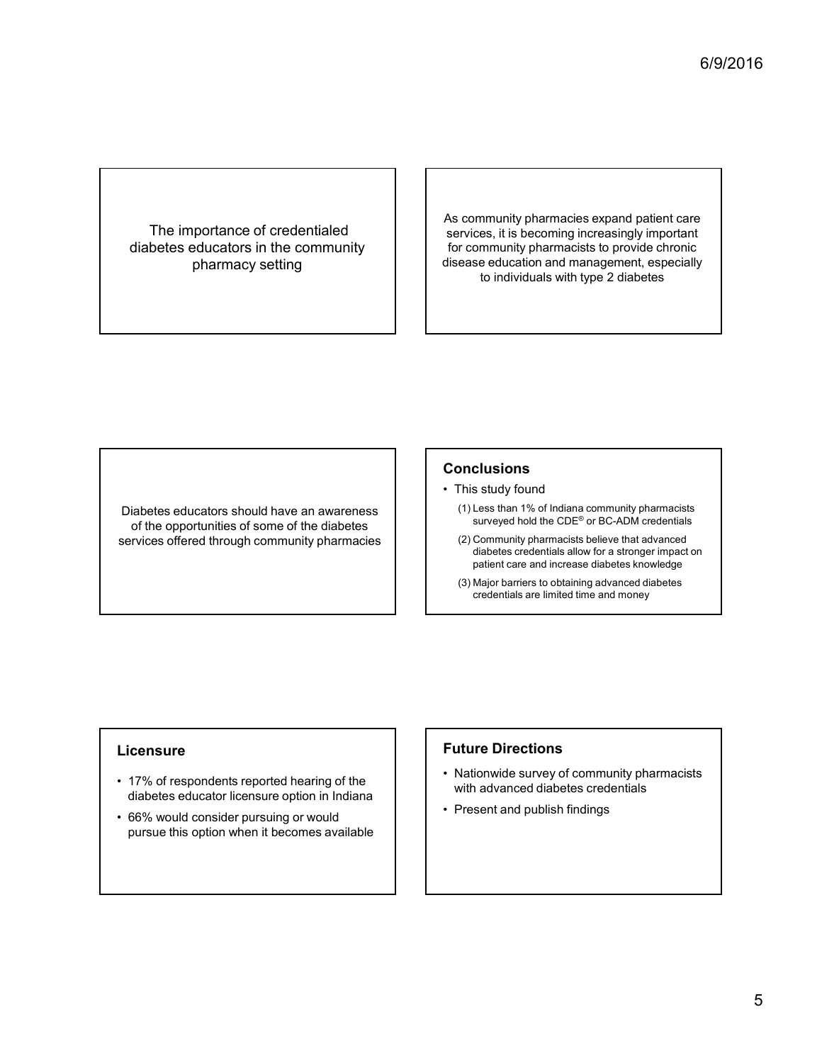### The importance of credentialed diabetes educators in the community pharmacy setting

As community pharmacies expand patient care services, it is becoming increasingly important for community pharmacists to provide chronic disease education and management, especially to individuals with type 2 diabetes As community pharmacies expand patient care<br>services, it is becoming increasingly important<br>for community pharmacists to provide chronic<br>disease education and management, especially<br>to individuals with type 2 diabetes<br> $\cdot$ community pharmacies expand patient care<br>vrices, it is becoming increasingly important<br>r community pharmacists to provide chronic<br>dease education and management, especially<br>to individuals with type 2 diabetes<br>for the indiv community pharmacies expand patient care<br>vivices, it is becoming increasingly important<br>r community pharmacists to provide chronic<br>ease education and management, especially<br>to individuals with type 2 diabetes<br>Strated to in rvices, it is becoming increasingly important<br>
r community pharmacists to provide chronic<br>
ease education and management, especially<br>
to individuals with type 2 diabetes<br>
Shing to individuals with type 2 diabetes<br>
surveyed

of the opportunities of some of the diabetes<br>
ryices offered through community pharmacies
(2) Community pharmacists believe that advanced services offered through community pharmacies <table>\n<tbody>\n<tr>\n<th>Diabetes educators should have an awareness of the opportunities of some of the diabetes services offered through community pharmacies services offered through community pharmacides</th>\n</tr>\n<tr>\n<td>12. Commonunity parameters to obtain a pattern of a pattern of the database</td>\n</tr>\n<tr>\n<td>23. Nonpoint parameters to obtain a pattern of the data</td>\n</tr>\n<tr>\n<td>3. Major barriers to obtain a relation</td>\n</tr>\n<tr>\n<td>4. 7% of respondents reported hearing of the database relevant is a similar</td>\n</tr>\n<tr>\n<td>5. 6% would consider pursuing or would<br/>e.g. 6% would consider pursuing or would<br/>pure this option when it becomes available</td>\n</tr>\n</tbody>\n</table>\n<p>7% of respondents reported hearing of the<br Future Directions<br>
First studied to the opportunities of some of the diabetes<br>
of the opportunities of some of the diabetes<br>
services offered through community pharmacies<br>
(1) Concursum (1) Less than 1% of India<br>
diabet

## **Conclusions**

- 
- Diabetes educators should have an awareness (1) (1) Less than 1% of Indiana community pharmacists surveyed hold the CDE® or BC-ADM credentials
- diabetes credentials allow for a stronger impact on patient care and increase diabetes knowledge **Conclusions**<br>
• This study found<br>
(1) Less than 1% of Indiana community pharmacists<br>
surveyed hold the CDE® or BC-ADM credentials<br>
(2) Community pharmacists believe that advanced<br>
diabetes credentials allow for a stronger **Conclusions**<br>
• This study found<br>
(1) Less than 1% of Indiana community pharmacists<br>
surveyed hold the CDE® or BC-ADM credentials<br>
(2) Community pharmacists believe that advanced<br>
diabetes credentials allow for a stronger
	- credentials are limited time and money

### Licensure

- diabetes educator licensure option in Indiana
- pursue this option when it becomes available

## Future Directions

- with advanced diabetes credentials
-